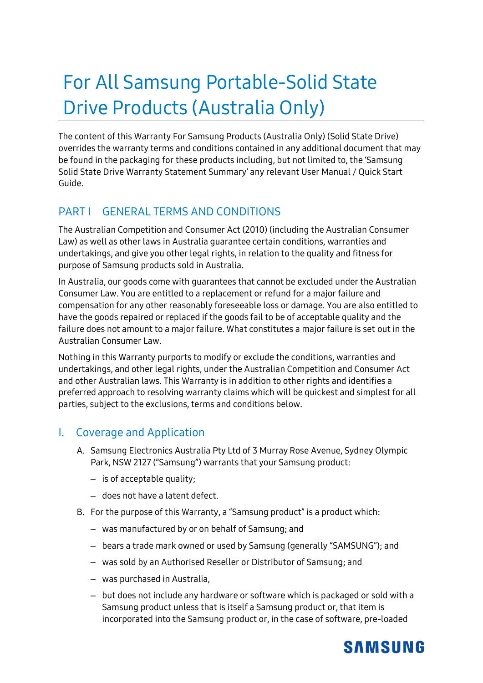# For All Samsung Portable-Solid State Drive Products (Australia Only)

The content of this Warranty For Samsung Products (Australia Only) (Solid State Drive) overrides the warranty terms and conditions contained in any additional document that may be found in the packaging for these products including, but not limited to, the 'Samsung Solid State Drive Warranty Statement Summary' any relevant User Manual / Quick Start Guide.

### PART I GENERAL TERMS AND CONDITIONS

The Australian Competition and Consumer Act (2010) (including the Australian Consumer Law) as well as other laws in Australia guarantee certain conditions, warranties and undertakings, and give you other legal rights, in relation to the quality and fitness for purpose of Samsung products sold in Australia.

In Australia, our goods come with guarantees that cannot be excluded under the Australian Consumer Law. You are entitled to a replacement or refund for a major failure and compensation for any other reasonably foreseeable loss or damage. You are also entitled to have the goods repaired or replaced if the goods fail to be of acceptable quality and the failure does not amount to a major failure. What constitutes a major failure is set out in the Australian Consumer Law.

Nothing in this Warranty purports to modify or exclude the conditions, warranties and undertakings, and other legal rights, under the Australian Competition and Consumer Act and other Australian laws. This Warranty is in addition to other rights and identifies a preferred approach to resolving warranty claims which will be quickest and simplest for all parties, subject to the exclusions, terms and conditions below.

#### I. Coverage and Application

- A. Samsung Electronics Australia Pty Ltd of 3 Murray Rose Avenue, Sydney Olympic Park, NSW 2127 ("Samsung") warrants that your Samsung product:
	- is of acceptable quality;
	- does not have a latent defect.
- B. For the purpose of this Warranty, a "Samsung product" is a product which:
	- was manufactured by or on behalf of Samsung; and
	- bears a trade mark owned or used by Samsung (generally "SAMSUNG"); and
	- was sold by an Authorised Reseller or Distributor of Samsung; and
	- was purchased in Australia,
	- but does not include any hardware or software which is packaged or sold with a Samsung product unless that is itself a Samsung product or, that item is incorporated into the Samsung product or, in the case of software, pre-loaded

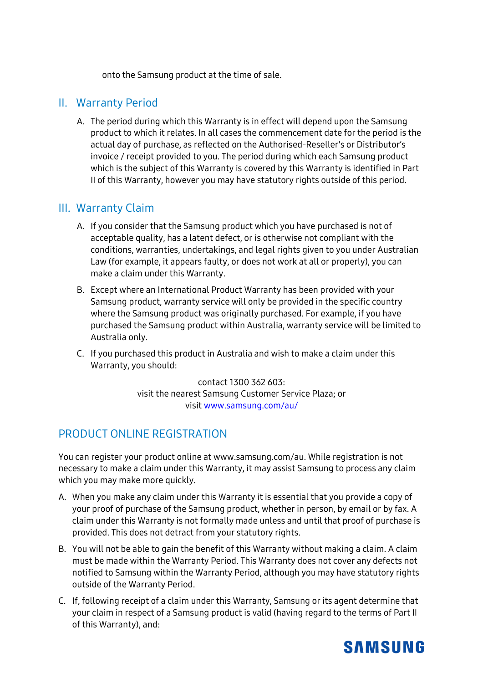onto the Samsung product at the time of sale.

#### II. Warranty Period

A. The period during which this Warranty is in effect will depend upon the Samsung product to which it relates. In all cases the commencement date for the period is the actual day of purchase, as reflected on the Authorised-Reseller's or Distributor's invoice / receipt provided to you. The period during which each Samsung product which is the subject of this Warranty is covered by this Warranty is identified in Part II of this Warranty, however you may have statutory rights outside of this period.

#### III. Warranty Claim

- A. If you consider that the Samsung product which you have purchased is not of acceptable quality, has a latent defect, or is otherwise not compliant with the conditions, warranties, undertakings, and legal rights given to you under Australian Law (for example, it appears faulty, or does not work at all or properly), you can make a claim under this Warranty.
- B. Except where an International Product Warranty has been provided with your Samsung product, warranty service will only be provided in the specific country where the Samsung product was originally purchased. For example, if you have purchased the Samsung product within Australia, warranty service will be limited to Australia only.
- C. If you purchased this product in Australia and wish to make a claim under this Warranty, you should:

contact 1300 362 603: visit the nearest Samsung Customer Service Plaza; or visit [www.samsung.com/au/](http://www.samsung.com/au/)

### PRODUCT ONLINE REGISTRATION

You can register your product online at www.samsung.com/au. While registration is not necessary to make a claim under this Warranty, it may assist Samsung to process any claim which you may make more quickly.

- A. When you make any claim under this Warranty it is essential that you provide a copy of your proof of purchase of the Samsung product, whether in person, by email or by fax. A claim under this Warranty is not formally made unless and until that proof of purchase is provided. This does not detract from your statutory rights.
- B. You will not be able to gain the benefit of this Warranty without making a claim. A claim must be made within the Warranty Period. This Warranty does not cover any defects not notified to Samsung within the Warranty Period, although you may have statutory rights outside of the Warranty Period.
- C. If, following receipt of a claim under this Warranty, Samsung or its agent determine that your claim in respect of a Samsung product is valid (having regard to the terms of Part II of this Warranty), and:

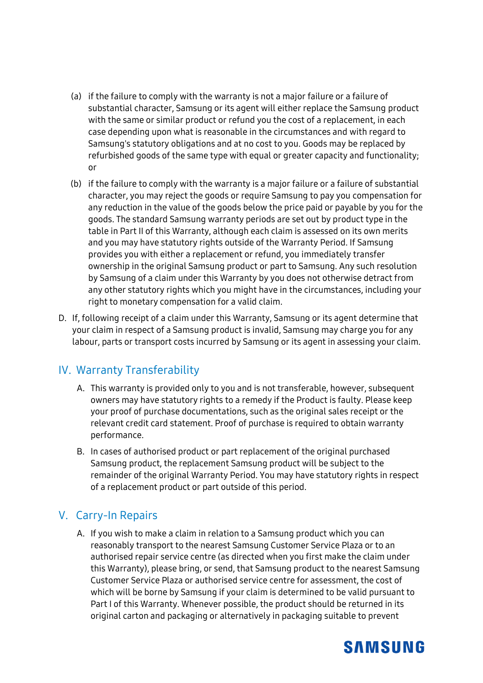- (a) if the failure to comply with the warranty is not a major failure or a failure of substantial character, Samsung or its agent will either replace the Samsung product with the same or similar product or refund you the cost of a replacement, in each case depending upon what is reasonable in the circumstances and with regard to Samsung's statutory obligations and at no cost to you. Goods may be replaced by refurbished goods of the same type with equal or greater capacity and functionality; or
- (b) if the failure to comply with the warranty is a major failure or a failure of substantial character, you may reject the goods or require Samsung to pay you compensation for any reduction in the value of the goods below the price paid or payable by you for the goods. The standard Samsung warranty periods are set out by product type in the table in Part II of this Warranty, although each claim is assessed on its own merits and you may have statutory rights outside of the Warranty Period. If Samsung provides you with either a replacement or refund, you immediately transfer ownership in the original Samsung product or part to Samsung. Any such resolution by Samsung of a claim under this Warranty by you does not otherwise detract from any other statutory rights which you might have in the circumstances, including your right to monetary compensation for a valid claim.
- D. If, following receipt of a claim under this Warranty, Samsung or its agent determine that your claim in respect of a Samsung product is invalid, Samsung may charge you for any labour, parts or transport costs incurred by Samsung or its agent in assessing your claim.

#### IV. Warranty Transferability

- A. This warranty is provided only to you and is not transferable, however, subsequent owners may have statutory rights to a remedy if the Product is faulty. Please keep your proof of purchase documentations, such as the original sales receipt or the relevant credit card statement. Proof of purchase is required to obtain warranty performance.
- B. In cases of authorised product or part replacement of the original purchased Samsung product, the replacement Samsung product will be subject to the remainder of the original Warranty Period. You may have statutory rights in respect of a replacement product or part outside of this period.

#### V. Carry-In Repairs

A. If you wish to make a claim in relation to a Samsung product which you can reasonably transport to the nearest Samsung Customer Service Plaza or to an authorised repair service centre (as directed when you first make the claim under this Warranty), please bring, or send, that Samsung product to the nearest Samsung Customer Service Plaza or authorised service centre for assessment, the cost of which will be borne by Samsung if your claim is determined to be valid pursuant to Part I of this Warranty. Whenever possible, the product should be returned in its original carton and packaging or alternatively in packaging suitable to prevent

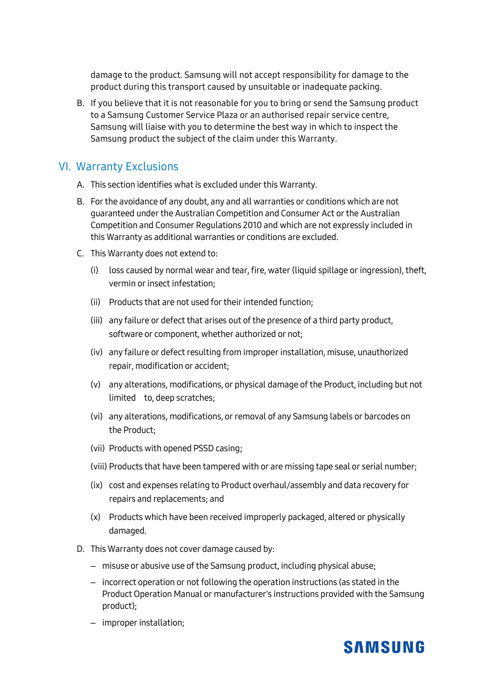damage to the product. Samsung will not accept responsibility for damage to the product during this transport caused by unsuitable or inadequate packing.

B. If you believe that it is not reasonable for you to bring or send the Samsung product to a Samsung Customer Service Plaza or an authorised repair service centre, Samsung will liaise with you to determine the best way in which to inspect the Samsung product the subject of the claim under this Warranty.

#### VI. Warranty Exclusions

- A. This section identifies what is excluded under this Warranty.
- B. For the avoidance of any doubt, any and all warranties or conditions which are not guaranteed under the Australian Competition and Consumer Act or the Australian Competition and Consumer Regulations 2010 and which are not expressly included in this Warranty as additional warranties or conditions are excluded.
- C. This Warranty does not extend to:
	- (i) loss caused by normal wear and tear, fire, water (liquid spillage or ingression), theft, vermin or insect infestation;
	- (ii) Products that are not used for their intended function;
	- (iii) any failure or defect that arises out of the presence of a third party product, software or component, whether authorized or not;
	- (iv) any failure or defect resulting from improper installation, misuse, unauthorized repair, modification or accident;
	- (v) any alterations, modifications, or physical damage of the Product, including but not limited to, deep scratches;
	- (vi) any alterations, modifications, or removal of any Samsung labels or barcodes on the Product;
	- (vii) Products with opened PSSD casing;
	- (viii) Products that have been tampered with or are missing tape seal or serial number;
	- (ix) cost and expenses relating to Product overhaul/assembly and data recovery for repairs and replacements; and
	- (x) Products which have been received improperly packaged, altered or physically damaged.
- D. This Warranty does not cover damage caused by:
	- misuse or abusive use of the Samsung product, including physical abuse;
	- incorrect operation or not following the operation instructions (as stated in the Product Operation Manual or manufacturer's instructions provided with the Samsung product);
	- improper installation;

## **SAMSUNG**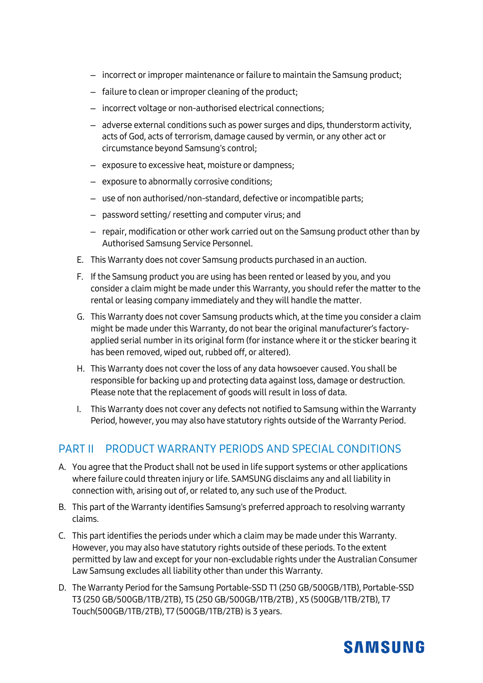- incorrect orimproper maintenance or failure to maintain the Samsung product;
- failure to clean or improper cleaning of the product;
- incorrect voltage or non-authorised electrical connections;
- adverse external conditions such as power surges and dips, thunderstorm activity, acts of God, acts of terrorism, damage caused by vermin, or any other act or circumstance beyond Samsung's control;
- exposure to excessive heat, moisture or dampness;
- exposure to abnormally corrosive conditions;
- use of non authorised/non-standard, defective or incompatible parts;
- password setting/ resetting and computer virus; and
- repair, modification or other work carried out on the Samsung product other than by Authorised Samsung Service Personnel.
- E. This Warranty does not cover Samsung products purchased in an auction.
- F. If the Samsung product you are using has been rented or leased by you, and you consider a claim might be made under this Warranty, you should refer the matter to the rental or leasing company immediately and they will handle the matter.
- G. This Warranty does not cover Samsung products which, at the time you consider a claim might be made under this Warranty, do not bear the original manufacturer's factoryapplied serial number in its original form (for instance where it or the sticker bearing it has been removed, wiped out, rubbed off, or altered).
- H. This Warranty does not cover the loss of any data howsoever caused. You shall be responsible for backing up and protecting data against loss, damage or destruction. Please note that the replacement of goods will result in loss of data.
- I. This Warranty does not cover any defects not notified to Samsung within the Warranty Period, however, you may also have statutory rights outside of the Warranty Period.

#### PART II PRODUCT WARRANTY PERIODS AND SPECIAL CONDITIONS

- A. You agree that the Product shall not be used in life support systems or other applications where failure could threaten injury or life. SAMSUNG disclaims any and all liability in connection with, arising out of, or related to, any such use of the Product.
- B. This part of the Warranty identifies Samsung's preferred approach to resolving warranty claims.
- C. This part identifies the periods under which a claim may be made under this Warranty. However, you may also have statutory rights outside of these periods. To the extent permitted by law and except for your non-excludable rights under the Australian Consumer Law Samsung excludes all liability other than under this Warranty.
- D. The Warranty Period for the Samsung Portable-SSD T1 (250 GB/500GB/1TB), Portable-SSD T3 (250 GB/500GB/1TB/2TB), T5 (250 GB/500GB/1TB/2TB) , X5 (500GB/1TB/2TB), T7 Touch(500GB/1TB/2TB), T7 (500GB/1TB/2TB) is 3 years.

## **SAMSUNG**